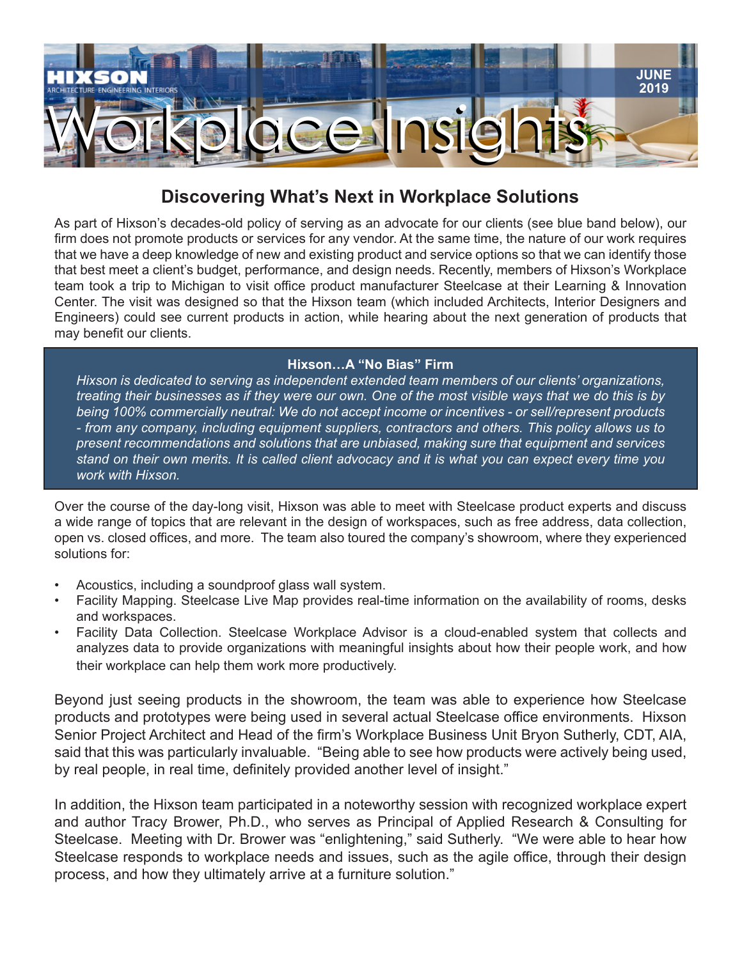

## **Discovering What's Next in Workplace Solutions**

As part of Hixson's decades-old policy of serving as an advocate for our clients (see blue band below), our firm does not promote products or services for any vendor. At the same time, the nature of our work requires that we have a deep knowledge of new and existing product and service options so that we can identify those that best meet a client's budget, performance, and design needs. Recently, members of Hixson's Workplace team took a trip to Michigan to visit office product manufacturer Steelcase at their Learning & Innovation Center. The visit was designed so that the Hixson team (which included Architects, Interior Designers and Engineers) could see current products in action, while hearing about the next generation of products that may benefit our clients.

## **Hixson…A "No Bias" Firm**

*Hixson is dedicated to serving as independent extended team members of our clients' organizations, treating their businesses as if they were our own. One of the most visible ways that we do this is by being 100% commercially neutral: We do not accept income or incentives - or sell/represent products - from any company, including equipment suppliers, contractors and others. This policy allows us to present recommendations and solutions that are unbiased, making sure that equipment and services stand on their own merits. It is called client advocacy and it is what you can expect every time you work with Hixson.*

Over the course of the day-long visit, Hixson was able to meet with Steelcase product experts and discuss a wide range of topics that are relevant in the design of workspaces, such as free address, data collection, open vs. closed offices, and more. The team also toured the company's showroom, where they experienced solutions for:

- Acoustics, including a soundproof glass wall system.
- Facility Mapping. Steelcase Live Map provides real-time information on the availability of rooms, desks and workspaces.
- Facility Data Collection. Steelcase Workplace Advisor is a cloud-enabled system that collects and analyzes data to provide organizations with meaningful insights about how their people work, and how their workplace can help them work more productively.

Beyond just seeing products in the showroom, the team was able to experience how Steelcase products and prototypes were being used in several actual Steelcase office environments. Hixson Senior Project Architect and Head of the firm's Workplace Business Unit Bryon Sutherly, CDT, AIA, said that this was particularly invaluable. "Being able to see how products were actively being used, by real people, in real time, definitely provided another level of insight."

In addition, the Hixson team participated in a noteworthy session with recognized workplace expert and author Tracy Brower, Ph.D., who serves as Principal of Applied Research & Consulting for Steelcase. Meeting with Dr. Brower was "enlightening," said Sutherly. "We were able to hear how Steelcase responds to workplace needs and issues, such as the agile office, through their design process, and how they ultimately arrive at a furniture solution."